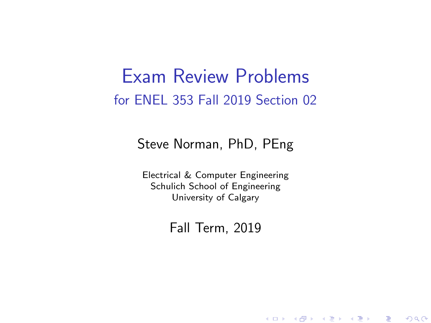#### Exam Review Problems for ENEL 353 Fall 2019 Section 02

#### Steve Norman, PhD, PEng

Electrical & Computer Engineering Schulich School of Engineering University of Calgary

Fall Term, 2019

K ロ ▶ 《 御 》 《 唐 》 《 唐 》 《 唐 》 《 9 Q ①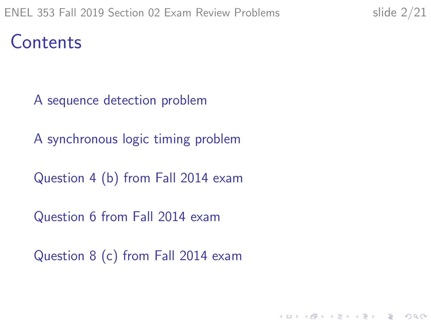Contents

[A sequence detection problem](#page-2-0)

[A synchronous logic timing problem](#page-6-0)

[Question 4 \(b\) from Fall 2014 exam](#page-10-0)

[Question 6 from Fall 2014 exam](#page-12-0)

[Question 8 \(c\) from Fall 2014 exam](#page-18-0)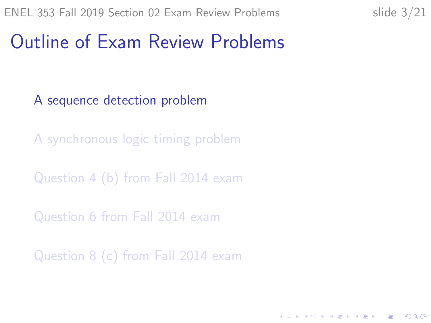**KORKARYKERKER POLO** 

### <span id="page-2-0"></span>Outline of Exam Review Problems

[A sequence detection problem](#page-2-0)

[A synchronous logic timing problem](#page-6-0)

[Question 4 \(b\) from Fall 2014 exam](#page-10-0)

[Question 6 from Fall 2014 exam](#page-12-0)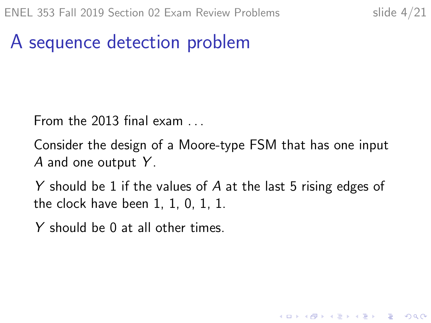**KORKARYKERKER POLO** 

## A sequence detection problem

From the 2013 final exam . . .

Consider the design of a Moore-type FSM that has one input A and one output  $Y$ .

Y should be 1 if the values of A at the last 5 rising edges of the clock have been 1, 1, 0, 1, 1.

Y should be 0 at all other times.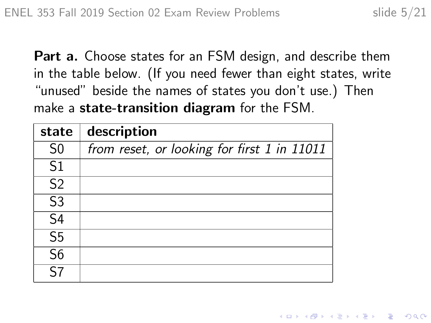Part a. Choose states for an FSM design, and describe them in the table below. (If you need fewer than eight states, write "unused" beside the names of states you don't use.) Then make a **state-transition diagram** for the FSM.

| state                    | description                                 |
|--------------------------|---------------------------------------------|
| S <sub>0</sub>           | from reset, or looking for first 1 in 11011 |
| S <sub>1</sub>           |                                             |
| S <sub>2</sub>           |                                             |
| S <sub>3</sub>           |                                             |
| S <sub>4</sub>           |                                             |
| S <sub>5</sub>           |                                             |
| $\overline{\mathsf{S6}}$ |                                             |
| 57                       |                                             |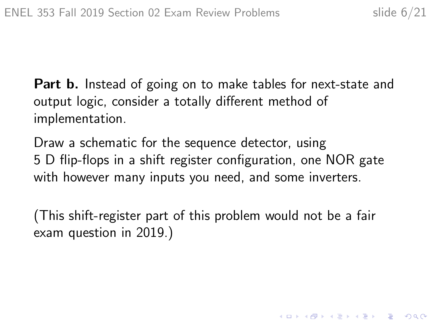**Part b.** Instead of going on to make tables for next-state and output logic, consider a totally different method of implementation.

Draw a schematic for the sequence detector, using 5 D flip-flops in a shift register configuration, one NOR gate with however many inputs you need, and some inverters.

(This shift-register part of this problem would not be a fair exam question in 2019.)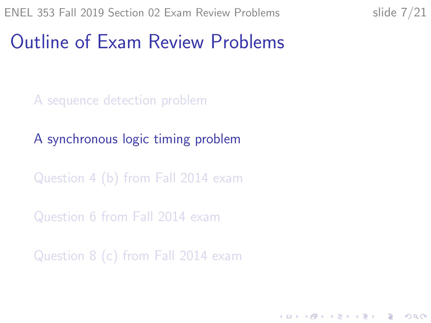**KORKARYKERKER POLO** 

### <span id="page-6-0"></span>Outline of Exam Review Problems

[A sequence detection problem](#page-2-0)

[A synchronous logic timing problem](#page-6-0)

[Question 4 \(b\) from Fall 2014 exam](#page-10-0)

[Question 6 from Fall 2014 exam](#page-12-0)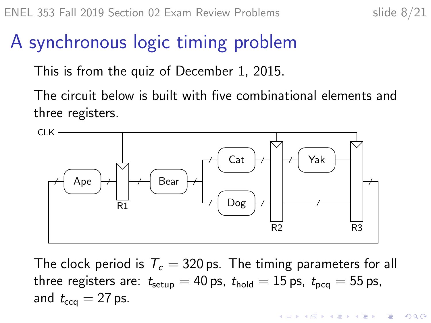**KORKARYKERKER POLO** 

## A synchronous logic timing problem

This is from the quiz of December 1, 2015.

The circuit below is built with five combinational elements and three registers.



The clock period is  $T_c = 320$  ps. The timing parameters for all three registers are:  $t_{\text{setup}} = 40 \text{ ps}$ ,  $t_{\text{hold}} = 15 \text{ ps}$ ,  $t_{\text{pca}} = 55 \text{ ps}$ , and  $t_{\text{cc}q} = 27$  ps.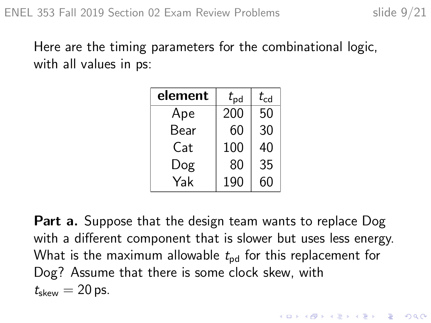Here are the timing parameters for the combinational logic, with all values in ps:

| element | $t_{\sf pd}$ | $t_{\rm cd}$ |  |
|---------|--------------|--------------|--|
| Ape     | 200          | 50           |  |
| Bear    | 60           | 30           |  |
| Cat     | 100          | 40           |  |
| Dog     | 80           | 35           |  |
| Yak     | 190          | 60           |  |

**Part a.** Suppose that the design team wants to replace Dog with a different component that is slower but uses less energy. What is the maximum allowable  $t_{\text{nd}}$  for this replacement for Dog? Assume that there is some clock skew, with  $t_{\rm skew} = 20$  ps.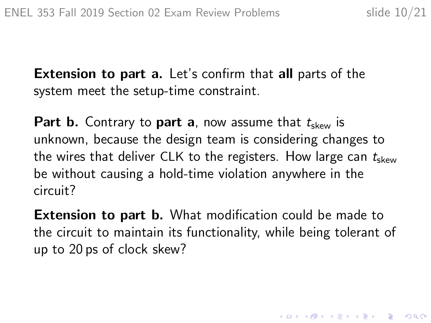4 0 > 4 4 + 4 = + 4 = + = + + 0 4 0 +

**Extension to part a.** Let's confirm that **all** parts of the system meet the setup-time constraint.

**Part b.** Contrary to **part a**, now assume that  $t_{\text{skew}}$  is unknown, because the design team is considering changes to the wires that deliver CLK to the registers. How large can  $t_{\text{skew}}$ be without causing a hold-time violation anywhere in the circuit?

**Extension to part b.** What modification could be made to the circuit to maintain its functionality, while being tolerant of up to 20 ps of clock skew?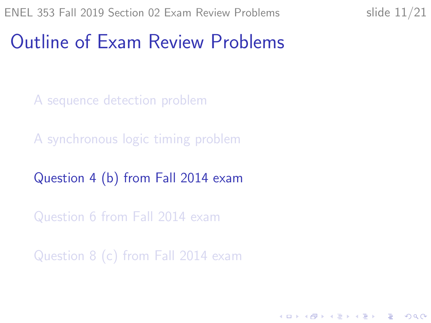K ロ ▶ K 個 ▶ K 할 ▶ K 할 ▶ 이 할 → 9 Q Q →

### <span id="page-10-0"></span>Outline of Exam Review Problems

[A sequence detection problem](#page-2-0)

[A synchronous logic timing problem](#page-6-0)

[Question 4 \(b\) from Fall 2014 exam](#page-10-0)

[Question 6 from Fall 2014 exam](#page-12-0)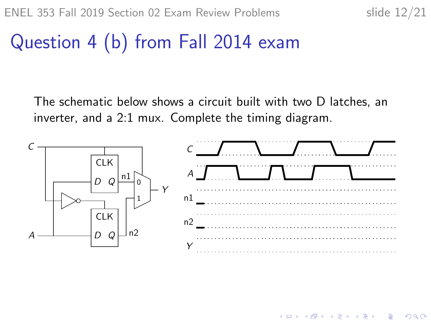$\mathbf{A} \otimes \mathbf{B} \rightarrow \mathbf{A} \otimes \mathbf{B} \rightarrow \mathbf{A} \otimes \mathbf{B} \rightarrow \mathbf{A} \otimes \mathbf{B} \rightarrow \mathbf{B} \otimes \mathbf{B}$ 

 $2990$ 

# Question 4 (b) from Fall 2014 exam

The schematic below shows a circuit built with two D latches, an inverter, and a 2:1 mux. Complete the timing diagram.

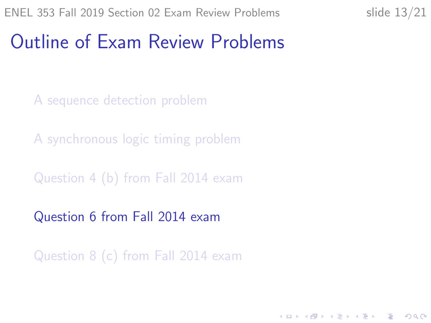K ロ ▶ K 個 ▶ K 할 ▶ K 할 ▶ 이 할 → 9 Q Q →

#### <span id="page-12-0"></span>Outline of Exam Review Problems

[A sequence detection problem](#page-2-0)

[A synchronous logic timing problem](#page-6-0)

[Question 4 \(b\) from Fall 2014 exam](#page-10-0)

[Question 6 from Fall 2014 exam](#page-12-0)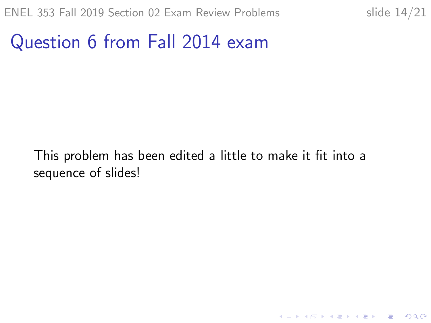KO K K Ø K K E K K E K V K K K K K K K K K

#### Question 6 from Fall 2014 exam

This problem has been edited a little to make it fit into a sequence of slides!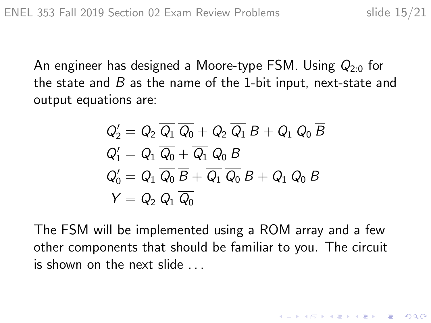K ロ ▶ K 個 ▶ K 할 ▶ K 할 ▶ 이 할 → 9 Q Q →

An engineer has designed a Moore-type FSM. Using  $Q_{2.0}$  for the state and  $B$  as the name of the 1-bit input, next-state and output equations are:

$$
\begin{aligned} Q_2' &= Q_2 \; \overline{Q_1} \; \overline{Q_0} + Q_2 \; \overline{Q_1} \; B + Q_1 \; Q_0 \; \overline{B} \\ Q_1' &= Q_1 \; \overline{Q_0} + \overline{Q_1} \; Q_0 \; B \\ Q_0' &= Q_1 \; \overline{Q_0} \; \overline{B} + \overline{Q_1} \; \overline{Q_0} \; B + Q_1 \; Q_0 \; B \\ Y &= Q_2 \; Q_1 \; \overline{Q_0} \end{aligned}
$$

The FSM will be implemented using a ROM array and a few other components that should be familiar to you. The circuit is shown on the next slide . . .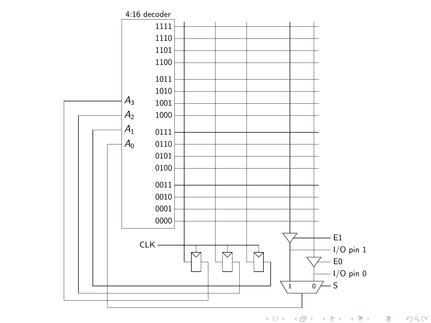

メロト メ御 ドメ 君 ドメ 君 ドー 活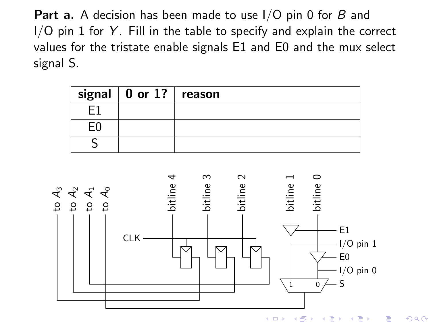**Part a.** A decision has been made to use I/O pin 0 for B and  $I/O$  pin 1 for  $Y$ . Fill in the table to specify and explain the correct values for the tristate enable signals E1 and E0 and the mux select signal S.

| signal $\vert$ 0 or 1?   reason |  |
|---------------------------------|--|
|                                 |  |
|                                 |  |
|                                 |  |



つくい (ロ) (伊) 一大震 わしも 陰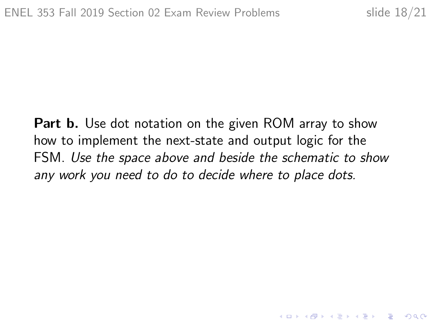**Part b.** Use dot notation on the given ROM array to show how to implement the next-state and output logic for the FSM. Use the space above and beside the schematic to show any work you need to do to decide where to place dots.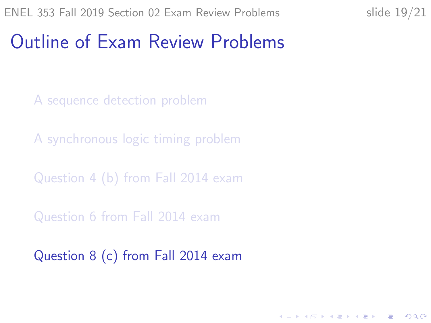K ロ ▶ K 個 ▶ K 할 ▶ K 할 ▶ 이 할 → 9 Q Q →

#### <span id="page-18-0"></span>Outline of Exam Review Problems

[A sequence detection problem](#page-2-0)

[A synchronous logic timing problem](#page-6-0)

[Question 4 \(b\) from Fall 2014 exam](#page-10-0)

[Question 6 from Fall 2014 exam](#page-12-0)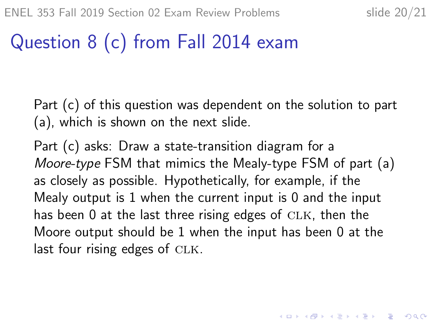KID KA KERKER KID KO

# Question 8 (c) from Fall 2014 exam

Part (c) of this question was dependent on the solution to part (a), which is shown on the next slide.

Part (c) asks: Draw a state-transition diagram for a Moore-type FSM that mimics the Mealy-type FSM of part (a) as closely as possible. Hypothetically, for example, if the Mealy output is 1 when the current input is 0 and the input has been  $0$  at the last three rising edges of  $CLK$ , then the Moore output should be 1 when the input has been 0 at the last four rising edges of  $CLK$ .